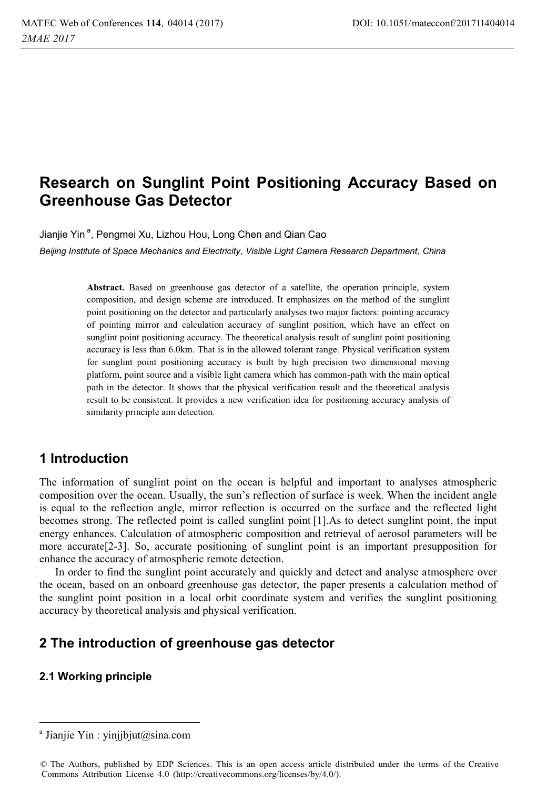# **Research on Sunglint Point Positioning Accuracy Based on Greenhouse Gas Detector**

Jianjie Yin<sup>a</sup>, Pengmei Xu, Lizhou Hou, Long Chen and Qian Cao

*Beijing Institute of Space Mechanics and Electricity, Visible Light Camera Research Department, China* 

Abstract. Based on greenhouse gas detector of a satellite, the operation principle, system composition, and design scheme are introduced. It emphasizes on the method of the sunglint point positioning on the detector and particularly analyses two major factors: pointing accuracy of pointing mirror and calculation accuracy of sunglint position, which have an effect on sunglint point positioning accuracy. The theoretical analysis result of sunglint point positioning accuracy is less than 6.0km. That is in the allowed tolerant range. Physical verification system for sunglint point positioning accuracy is built by high precision two dimensional moving platform, point source and a visible light camera which has common-path with the main optical path in the detector. It shows that the physical verification result and the theoretical analysis result to be consistent. It provides a new verification idea for positioning accuracy analysis of similarity principle aim detection.

## **1 Introduction**

The information of sunglint point on the ocean is helpful and important to analyses atmospheric composition over the ocean. Usually, the sun's reflection of surface is week. When the incident angle is equal to the reflection angle, mirror reflection is occurred on the surface and the reflected light becomes strong. The reflected point is called sunglint point [1].As to detect sunglint point, the input energy enhances. Calculation of atmospheric composition and retrieval of aerosol parameters will be more accurate[2-3]. So, accurate positioning of sunglint point is an important presupposition for enhance the accuracy of atmospheric remote detection.

In order to find the sunglint point accurately and quickly and detect and analyse atmosphere over the ocean, based on an onboard greenhouse gas detector, the paper presents a calculation method of the sunglint point position in a local orbit coordinate system and verifies the sunglint positioning accuracy by theoretical analysis and physical verification.

## **2 The introduction of greenhouse gas detector**

#### **2.1 Working principle**

 $\overline{a}$ 

a Jianjie Yin : yinjjbjut@sina.com

<sup>©</sup> The Authors, published by EDP Sciences. This is an open access article distributed under the terms of the Creative Commons Attribution License 4.0 (http://creativecommons.org/licenses/by/4.0/).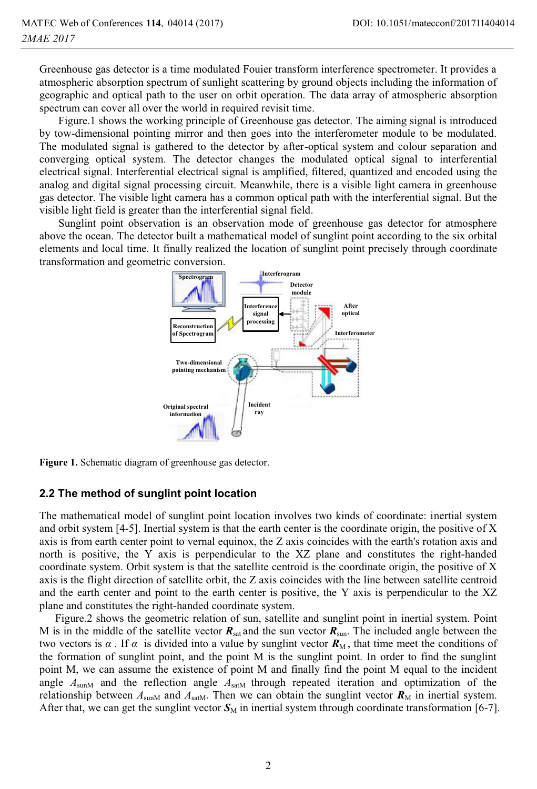Greenhouse gas detector is a time modulated Fouier transform interference spectrometer. It provides a atmospheric absorption spectrum of sunlight scattering by ground objects including the information of geographic and optical path to the user on orbit operation. The data array of atmospheric absorption spectrum can cover all over the world in required revisit time.

 Figure.1 shows the working principle of Greenhouse gas detector. The aiming signal is introduced by tow-dimensional pointing mirror and then goes into the interferometer module to be modulated. The modulated signal is gathered to the detector by after-optical system and colour separation and converging optical system. The detector changes the modulated optical signal to interferential electrical signal. Interferential electrical signal is amplified, filtered, quantized and encoded using the analog and digital signal processing circuit. Meanwhile, there is a visible light camera in greenhouse gas detector. The visible light camera has a common optical path with the interferential signal. But the visible light field is greater than the interferential signal field.

 Sunglint point observation is an observation mode of greenhouse gas detector for atmosphere above the ocean. The detector built a mathematical model of sunglint point according to the six orbital elements and local time. It finally realized the location of sunglint point precisely through coordinate transformation and geometric conversion.



**Figure 1.** Schematic diagram of greenhouse gas detector.

#### **2.2 The method of sunglint point location**

The mathematical model of sunglint point location involves two kinds of coordinate: inertial system and orbit system [4-5]. Inertial system is that the earth center is the coordinate origin, the positive of X axis is from earth center point to vernal equinox, the Z axis coincides with the earth's rotation axis and north is positive, the Y axis is perpendicular to the XZ plane and constitutes the right-handed coordinate system. Orbit system is that the satellite centroid is the coordinate origin, the positive of X axis is the flight direction of satellite orbit, the Z axis coincides with the line between satellite centroid and the earth center and point to the earth center is positive, the Y axis is perpendicular to the XZ plane and constitutes the right-handed coordinate system.

Figure.2 shows the geometric relation of sun, satellite and sunglint point in inertial system. Point M is in the middle of the satellite vector  $R_{\text{sat}}$  and the sun vector  $R_{\text{sun}}$ . The included angle between the two vectors is  $\alpha$ . If  $\alpha$  is divided into a value by sunglint vector  $\mathbf{R}_{\text{M}}$ , that time meet the conditions of the formation of sunglint point, and the point M is the sunglint point. In order to find the sunglint point M, we can assume the existence of point M and finally find the point M equal to the incident angle  $A_{\text{sumM}}$  and the reflection angle  $A_{\text{satM}}$  through repeated iteration and optimization of the relationship between  $A_{\text{sumM}}$  and  $A_{\text{satM}}$ . Then we can obtain the sunglint vector  $\mathbf{R}_{\text{M}}$  in inertial system. After that, we can get the sunglint vector  $S_M$  in inertial system through coordinate transformation [6-7].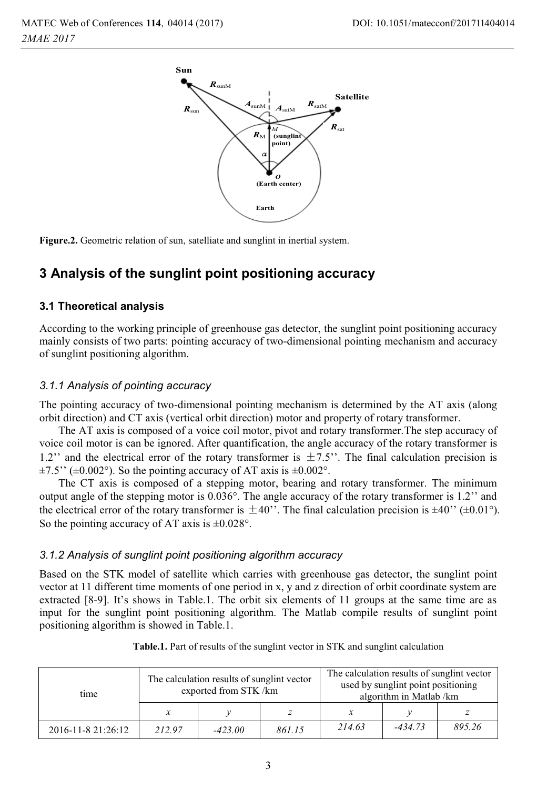

**Figure.2.** Geometric relation of sun, satelliate and sunglint in inertial system.

# **3 Analysis of the sunglint point positioning accuracy**

#### **3.1 Theoretical analysis**

According to the working principle of greenhouse gas detector, the sunglint point positioning accuracy mainly consists of two parts: pointing accuracy of two-dimensional pointing mechanism and accuracy of sunglint positioning algorithm.

#### *3.1.1 Analysis of pointing accuracy*

The pointing accuracy of two-dimensional pointing mechanism is determined by the AT axis (along orbit direction) and CT axis (vertical orbit direction) motor and property of rotary transformer.

 The AT axis is composed of a voice coil motor, pivot and rotary transformer.The step accuracy of voice coil motor is can be ignored. After quantification, the angle accuracy of the rotary transformer is 1.2" and the electrical error of the rotary transformer is  $\pm 7.5$ ". The final calculation precision is  $\pm 7.5$ " ( $\pm 0.002$ °). So the pointing accuracy of AT axis is  $\pm 0.002$ °.

 The CT axis is composed of a stepping motor, bearing and rotary transformer. The minimum output angle of the stepping motor is 0.036°. The angle accuracy of the rotary transformer is 1.2'' and the electrical error of the rotary transformer is  $\pm 40$ ". The final calculation precision is  $\pm 40$ " ( $\pm 0.01^{\circ}$ ). So the pointing accuracy of AT axis is  $\pm 0.028^{\circ}$ .

#### *3.1.2 Analysis of sunglint point positioning algorithm accuracy*

Based on the STK model of satellite which carries with greenhouse gas detector, the sunglint point vector at 11 different time moments of one period in x, y and z direction of orbit coordinate system are extracted [8-9]. It's shows in Table.1. The orbit six elements of 11 groups at the same time are as input for the sunglint point positioning algorithm. The Matlab compile results of sunglint point positioning algorithm is showed in Table.1.

| time               | The calculation results of sunglint vector<br>exported from STK/km |           |        | The calculation results of sunglint vector<br>used by sunglint point positioning<br>algorithm in Matlab /km |           |        |
|--------------------|--------------------------------------------------------------------|-----------|--------|-------------------------------------------------------------------------------------------------------------|-----------|--------|
|                    | $\mathcal{X}$                                                      |           |        |                                                                                                             |           |        |
| 2016-11-8 21:26:12 | 212.97                                                             | $-423.00$ | 861.15 | 214.63                                                                                                      | $-434.73$ | 895.26 |

**Table.1.** Part of results of the sunglint vector in STK and sunglint calculation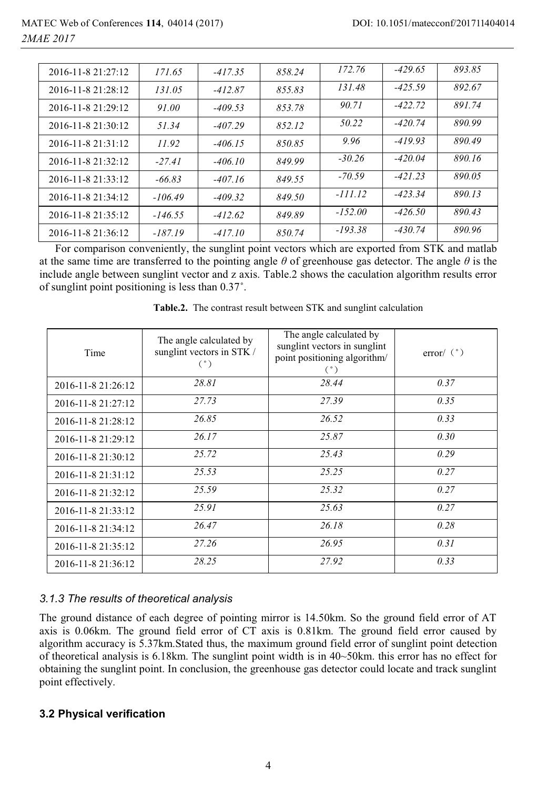| 2016-11-8 21:27:12      | 171.65    | $-417.35$ | 858.24 | 172.76    | $-429.65$ | 893.85 |
|-------------------------|-----------|-----------|--------|-----------|-----------|--------|
| 2016-11-8 21:28:12      | 131.05    | $-412.87$ | 855.83 | 131.48    | $-425.59$ | 892.67 |
| 2016-11-8 21:29:12      | 91.00     | $-409.53$ | 853.78 | 90.71     | $-422.72$ | 891.74 |
| 2016-11-8 21:30:12      | 51.34     | $-407.29$ | 852.12 | 50.22     | $-420.74$ | 890.99 |
| $2016 - 11 - 821:31:12$ | 11.92     | $-406.15$ | 850.85 | 9.96      | $-419.93$ | 890.49 |
| 2016-11-8 21:32:12      | $-27.41$  | $-406.10$ | 849.99 | $-30.26$  | $-420.04$ | 890.16 |
| 2016-11-8 21:33:12      | $-66.83$  | $-407.16$ | 849.55 | $-70.59$  | $-421.23$ | 890.05 |
| 2016-11-8 21:34:12      | $-106.49$ | $-409.32$ | 849.50 | $-111.12$ | $-423.34$ | 890.13 |
| 2016-11-8 21:35:12      | $-146.55$ | $-412.62$ | 849.89 | $-152.00$ | $-426.50$ | 890.43 |
| 2016-11-8 21:36:12      | $-187.19$ | $-417.10$ | 850.74 | $-193.38$ | $-430.74$ | 890.96 |

For comparison conveniently, the sunglint point vectors which are exported from STK and matlab at the same time are transferred to the pointing angle  $\theta$  of greenhouse gas detector. The angle  $\theta$  is the include angle between sunglint vector and z axis. Table.2 shows the caculation algorithm results error of sunglint point positioning is less than 0.37˚.

|  | Table.2. The contrast result between STK and sunglint calculation |  |  |
|--|-------------------------------------------------------------------|--|--|
|  |                                                                   |  |  |

| Time               | The angle calculated by<br>sunglint vectors in STK /<br>(°) | The angle calculated by<br>sunglint vectors in sunglint<br>point positioning algorithm/<br>(°) | error/ $(^{\circ})$ |
|--------------------|-------------------------------------------------------------|------------------------------------------------------------------------------------------------|---------------------|
| 2016-11-8 21:26:12 | 28.81                                                       | 28.44                                                                                          | 0.37                |
| 2016-11-8 21:27:12 | 27.73                                                       | 27.39                                                                                          | 0.35                |
| 2016-11-8 21:28:12 | 26.85                                                       | 26.52                                                                                          | 0.33                |
| 2016-11-8 21:29:12 | 26.17                                                       | 25.87                                                                                          | 0.30                |
| 2016-11-8 21:30:12 | 25.72                                                       | 25.43                                                                                          | 0.29                |
| 2016-11-8 21:31:12 | 25.53                                                       | 25.25                                                                                          | 0.27                |
| 2016-11-8 21:32:12 | 25.59                                                       | 25.32                                                                                          | 0.27                |
| 2016-11-8 21:33:12 | 25.91                                                       | 25.63                                                                                          | 0.27                |
| 2016-11-8 21:34:12 | 26.47                                                       | 26.18                                                                                          | 0.28                |
| 2016-11-8 21:35:12 | 27.26                                                       | 26.95                                                                                          | 0.31                |
| 2016-11-8 21:36:12 | 28.25                                                       | 27.92                                                                                          | 0.33                |

#### *3.1.3 The results of theoretical analysis*

The ground distance of each degree of pointing mirror is 14.50km. So the ground field error of AT axis is 0.06km. The ground field error of CT axis is 0.81km. The ground field error caused by algorithm accuracy is 5.37km.Stated thus, the maximum ground field error of sunglint point detection of theoretical analysis is 6.18km. The sunglint point width is in 40~50km. this error has no effect for obtaining the sunglint point. In conclusion, the greenhouse gas detector could locate and track sunglint point effectively.

#### **3.2 Physical verification**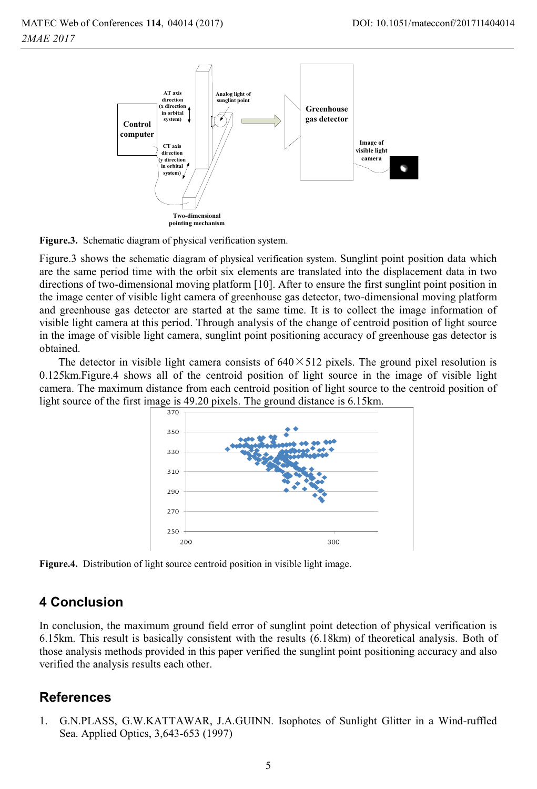

**Figure.3.** Schematic diagram of physical verification system.

Figure.3 shows the schematic diagram of physical verification system. Sunglint point position data which are the same period time with the orbit six elements are translated into the displacement data in two directions of two-dimensional moving platform [10]. After to ensure the first sunglint point position in the image center of visible light camera of greenhouse gas detector, two-dimensional moving platform and greenhouse gas detector are started at the same time. It is to collect the image information of visible light camera at this period. Through analysis of the change of centroid position of light source in the image of visible light camera, sunglint point positioning accuracy of greenhouse gas detector is obtained.

The detector in visible light camera consists of  $640 \times 512$  pixels. The ground pixel resolution is 0.125km.Figure.4 shows all of the centroid position of light source in the image of visible light camera. The maximum distance from each centroid position of light source to the centroid position of light source of the first image is 49.20 pixels. The ground distance is 6.15km.



**Figure.4.** Distribution of light source centroid position in visible light image.

### **4 Conclusion**

In conclusion, the maximum ground field error of sunglint point detection of physical verification is 6.15km. This result is basically consistent with the results (6.18km) of theoretical analysis. Both of those analysis methods provided in this paper verified the sunglint point positioning accuracy and also verified the analysis results each other.

### **References**

1. G.N.PLASS, G.W.KATTAWAR, J.A.GUINN. Isophotes of Sunlight Glitter in a Wind-ruffled Sea. Applied Optics, 3,643-653 (1997)